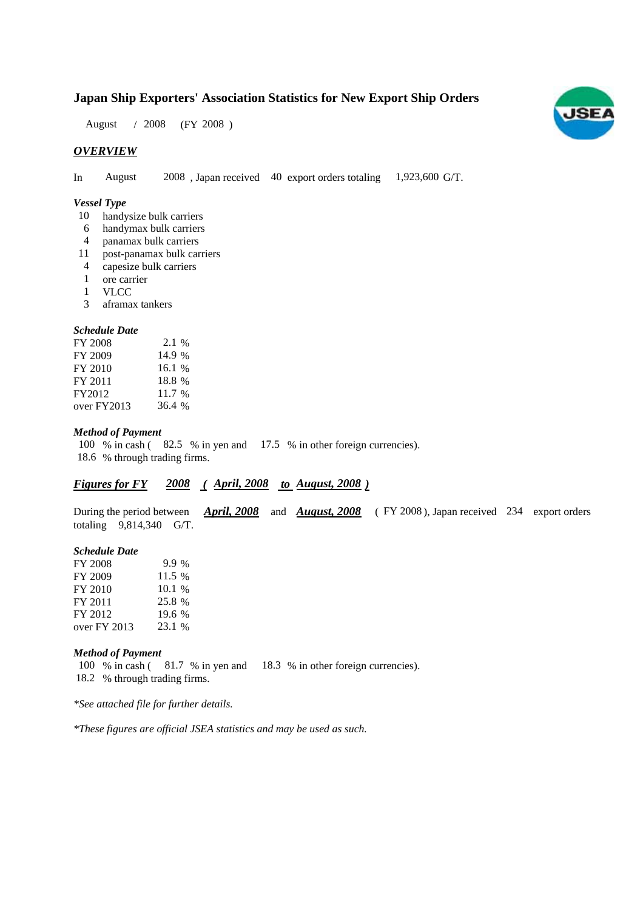### **Japan Ship Exporters' Association Statistics for New Export Ship Orders**

 $/ 2008$  (FY 2008) August / 2008

#### *OVERVIEW*

In August 2008, Japan received 40 export orders totaling 1,923,600 G/T. August

#### *Vessel Type*

- 10 handysize bulk carriers
- handymax bulk carriers 6
- panamax bulk carriers 4
- post-panamax bulk carriers 11
- capesize bulk carriers 4
- ore carrier 1
- VLCC 1
- aframax tankers 3

#### *Schedule Date*

| FY 2008     | 2.1 %  |
|-------------|--------|
| FY 2009     | 14.9 % |
| FY 2010     | 16.1%  |
| FY 2011     | 18.8 % |
| FY2012      | 11.7 % |
| over FY2013 | 36.4 % |

#### *Method of Payment*

100 % in cash (82.5 % in yen and 17.5 % in other foreign currencies). % through trading firms. 18.6

### *Figures for FY* 2008 (*April, 2008 to August, 2008*)

During the period between *April, 2008* and *August, 2008* (FY 2008), Japan received 234 export orders totaling  $9,814,340$  G/T.

#### *Schedule Date*

| FY 2008        | $9.9\%$ |
|----------------|---------|
| FY 2009        | 11.5 %  |
| FY 2010        | 10.1%   |
| FY 2011        | 25.8 %  |
| FY 2012        | 19.6 %  |
| over $FY$ 2013 | 23.1 %  |

#### *Method of Payment*

100 % in cash (81.7 % in yen and 18.3 % in other foreign currencies). % through trading firms. 18.2

*\*See attached file for further details.*

*\*These figures are official JSEA statistics and may be used as such.*

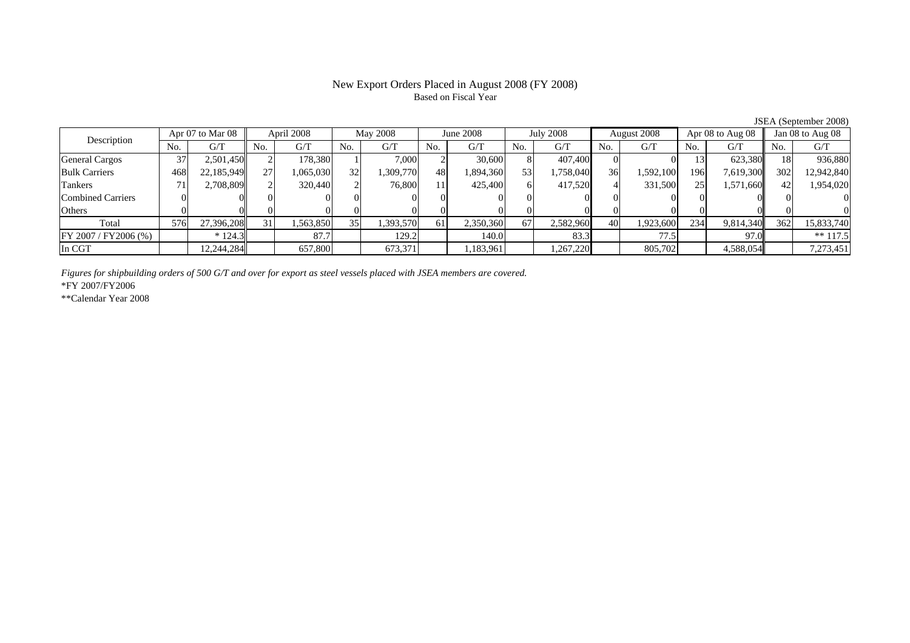#### New Export Orders Placed in August 2008 (FY 2008) Based on Fiscal Year

No. G/T No. G/T No. G/T No. G/T No. G/T No. G/T No. G/T No. G/TGeneral Cargos | 37| 2,501,450|| 2| 178,380| 1| 7,000| 2| 30,600| 8| 407,400| 0| 0| 13| 623,380|| 18| 936,880 Bulk Carriers | 468| 22,185,949| 27| 1,065,030| 32| 1,309,770| 48| 1,894,360| 53| 1,758,040| 36| 1,592,100| 196| 7,619,300| 302| 12,942,840 Tankers | 71| 2,708,809|| 2| 320,440| 2| 76,800| 11| 425,400| 6| 417,520| 4| 331,500| 25| 1,571,660|| 42| 1,954,020 Combined Carriers 0 0 0 0 0 0 0 0 0 0 0 0 0 0 0 0Others 0 0 0 0 0 0 0 0 0 0 0 0 0 0 0 0 $\mathbf{0}$ Total 576 27,396,208 31 1,563,850 35 1,393,570 61 2,350,360 67 2,582,960 40 1,923,600 234 9,814,340 362 15,833,740 FY 2007 / FY 2006 (%) \* 124.3 | 87.7 | 129.2 | 140.0 | 83.3 | 77.5 | 97.0 | \*\* 117.5 In CGT | | 12,244,284| | 657,800| | 673,371| | 1,183,961| | 1,267,220| | 805,702| | 4,588,054|| | 7,273,451 Description Apr 07 to Mar 08 April 2008 May 2008 June 2008 July 2008 August 2008 Apr 08 to Aug 08 Jan 08 to Aug 08

*Figures for shipbuilding orders of 500 G/T and over for export as steel vessels placed with JSEA members are covered.*

\*FY 2007/FY2006

\*\*Calendar Year 2008

JSEA (September 2008)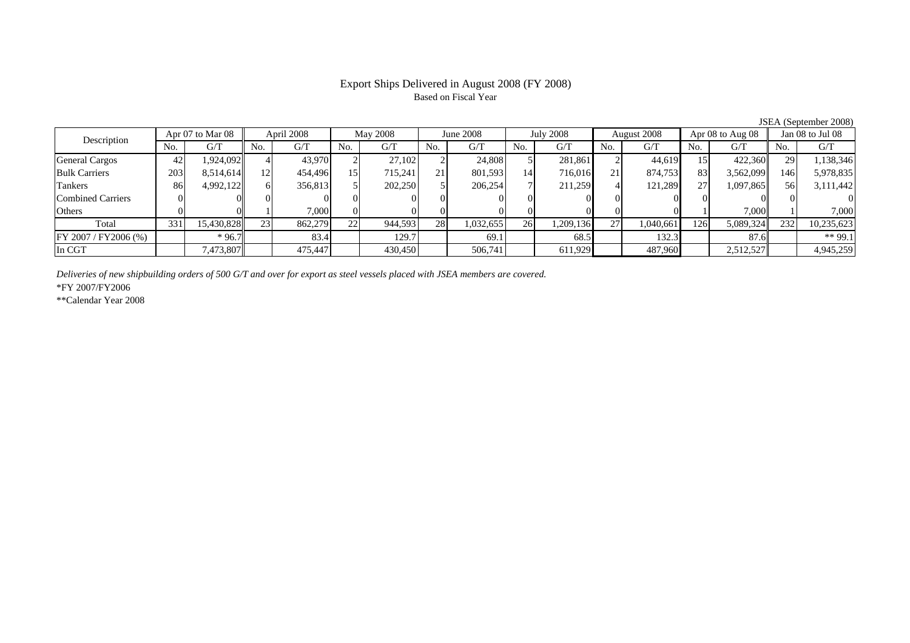# Based on Fiscal Year

No. I G/T II No. I G/T II No. I G/T II No. I G/T G/T II No. I G/T II No. I G/T II No. I G/T II No. I G/T II No  $G/T$ General Cargos ( 42 1,924,092 4 43,970 2 27,102 2 24,808 5 281,861 2 44,619 15 422,360 29 1,138,346 Bulk Carriers 203 8,514,614 12 454,496 15 715,241 21 801,593 14 716,016 21 874,753 83 3,562,099 146 5,978,835 Tankers | 86| 4,992,122|| 6| 356,813| 5| 202,250| 5| 206,254| 7| 211,259| 4| 121,289| 27| 1,097,865|| 56| 3,111,442 Combined Carriers 0 0 0 0 0 0 0 0 0 0 0 0 0 0 0 0Others 0 0 1 7,000 0 0 0 0 0 0 0 0 1 7,000 1 7,000 Total 331 15,430,828 23 862,279 22 944,593 28 1,032,655 26 1,209,136 27 1,040,661 126 5,089,324 232 10,235,623 FY 2007 / FY 2006 (%) \* 96.7 \* 96.7 83.4 129.7 69.1 69.1 68.5 132.3 87.6 \* 87.6 \* \$99.1 In CGT | | 7,473,807 || | 475,447 | | 430,450 | | 506,741 | | 611,929 | | 487,960 | | 2,512,527 | | 4,945,259 June 2008Description Apr 07 to Mar 08 April 2008 May 2008 June 2008<br>No. 6/T No. 6/T No. 6/T No. 6/T No. 6/T Apr 07 to Mar 08 | April 2008 | May 2008 | June 2008 | July 2008 | August 2008 | Apr 08 to Aug 08 || Jan 08 to Jul 08

*Deliveries of new shipbuilding orders of 500 G/T and over for export as steel vessels placed with JSEA members are covered.*

\*FY 2007/FY2006

\*\*Calendar Year 2008

JSEA (September 2008)

# Export Ships Delivered in August 2008 (FY 2008)